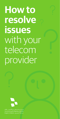# **How to resolve issues**  with your telecom provider

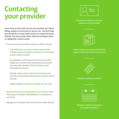## **Contacting your provider**

If you have an issue with your service provider, be it about billing, quality of connection or service, etc. the first thing you should do is contact them and try to resolve the issue directly. You may contact them, either by writing to them or calling their contact center.

- If you write to your provider, ensure your letter contains:
	- Your **full name, a contact number and the line number** that has the fault or issue (if it is not the same as your contact number)
	- An explanation of the issue you are facing. Provide details such as when it first started and what actions you have taken already to fix it. Provide as much information as you can
	- Provide **copies of any relevant documents** and save all correspondence between you and your service provider
	- Always request a **reference number** for your case
- **Request that your provider gives you a date** by when they expect to provide initial feedback or a resolution to your issue
- Manage your complaint with your service provider directly



Include your full name, contact number and line number



Clearly outline your issue and provide copies of bills and relevant documents



Request a reference number



Request a date for when you can expect feedback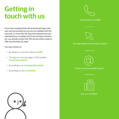### **Getting in touch with us**

If you have completed the aforementioned steps with your service provider but you are not satisfied with the outcome, or more than 60 days have passed since you submitted your complaint and it has not been resolved yet, you should contact the TRA and we will be ready to offer you the help you need.

You may contact us:

- • By calling our consumer hotline on **81188**
- Through our consumer page on TRA's website **consumer.tra.org.bh**
- • By emailing us via **consumer@tra.org.bh**
- • By sending us a fax on **17532523**





You can call us on 81188



Our web address is consumer.tra.org.bh



Email us at consumer@tra.org.bh



Fax us on 17532523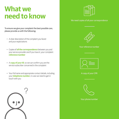### **What we need to know**

To ensure we give your complaint the best possible care, please provide us with the following:

- • A clear description of the complaint you faced and your expectations
- • Copies of **all the correspondence** between you and your service provider and if you have it, your complaint **reference number**
- A **copy of your ID**, so we can confirm you are the service subscriber concerned in the complaint
- Your full name and appropriate contact details, including your **telephone number**, in case we need to get in touch with you





#### We need copies of all your correspondence



#### Your reference number



#### A copy of your CPR



Your phone number